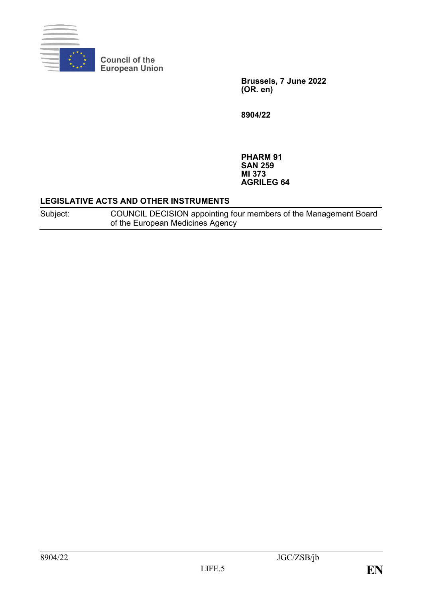

**Council of the European Union**

> **Brussels, 7 June 2022 (OR. en)**

**8904/22**

**PHARM 91 SAN 259 MI 373 AGRILEG 64**

### **LEGISLATIVE ACTS AND OTHER INSTRUMENTS**

Subject: COUNCIL DECISION appointing four members of the Management Board of the European Medicines Agency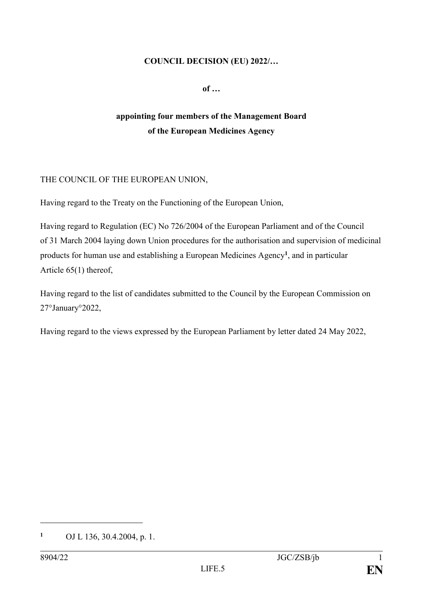### **COUNCIL DECISION (EU) 2022/…**

**of …**

# **appointing four members of the Management Board of the European Medicines Agency**

# THE COUNCIL OF THE EUROPEAN UNION,

Having regard to the Treaty on the Functioning of the European Union,

Having regard to Regulation (EC) No 726/2004 of the European Parliament and of the Council of 31 March 2004 laying down Union procedures for the authorisation and supervision of medicinal products for human use and establishing a European Medicines Agency**<sup>1</sup>** , and in particular Article 65(1) thereof,

Having regard to the list of candidates submitted to the Council by the European Commission on 27°January°2022,

Having regard to the views expressed by the European Parliament by letter dated 24 May 2022,

1

**<sup>1</sup>** OJ L 136, 30.4.2004, p. 1.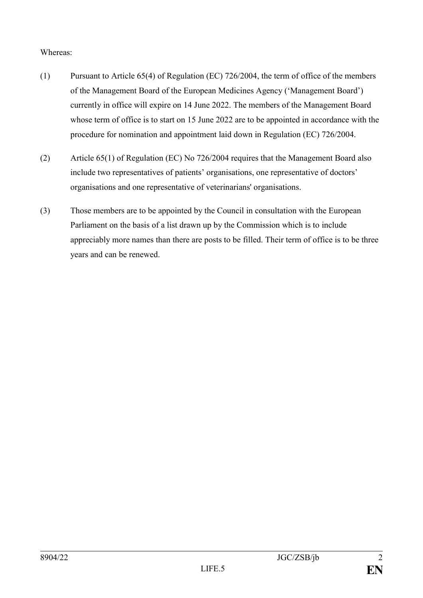# Whereas:

- (1) Pursuant to Article 65(4) of Regulation (EC) 726/2004, the term of office of the members of the Management Board of the European Medicines Agency ('Management Board') currently in office will expire on 14 June 2022. The members of the Management Board whose term of office is to start on 15 June 2022 are to be appointed in accordance with the procedure for nomination and appointment laid down in Regulation (EC) 726/2004.
- (2) Article 65(1) of Regulation (EC) No 726/2004 requires that the Management Board also include two representatives of patients' organisations, one representative of doctors' organisations and one representative of veterinarians' organisations.
- (3) Those members are to be appointed by the Council in consultation with the European Parliament on the basis of a list drawn up by the Commission which is to include appreciably more names than there are posts to be filled. Their term of office is to be three years and can be renewed.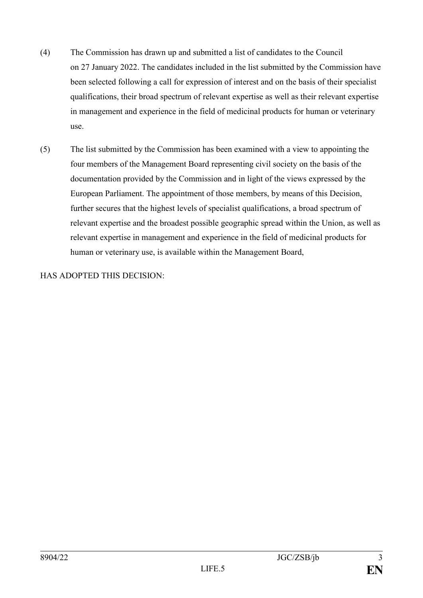- (4) The Commission has drawn up and submitted a list of candidates to the Council on 27 January 2022. The candidates included in the list submitted by the Commission have been selected following a call for expression of interest and on the basis of their specialist qualifications, their broad spectrum of relevant expertise as well as their relevant expertise in management and experience in the field of medicinal products for human or veterinary use.
- (5) The list submitted by the Commission has been examined with a view to appointing the four members of the Management Board representing civil society on the basis of the documentation provided by the Commission and in light of the views expressed by the European Parliament. The appointment of those members, by means of this Decision, further secures that the highest levels of specialist qualifications, a broad spectrum of relevant expertise and the broadest possible geographic spread within the Union, as well as relevant expertise in management and experience in the field of medicinal products for human or veterinary use, is available within the Management Board,

HAS ADOPTED THIS DECISION: